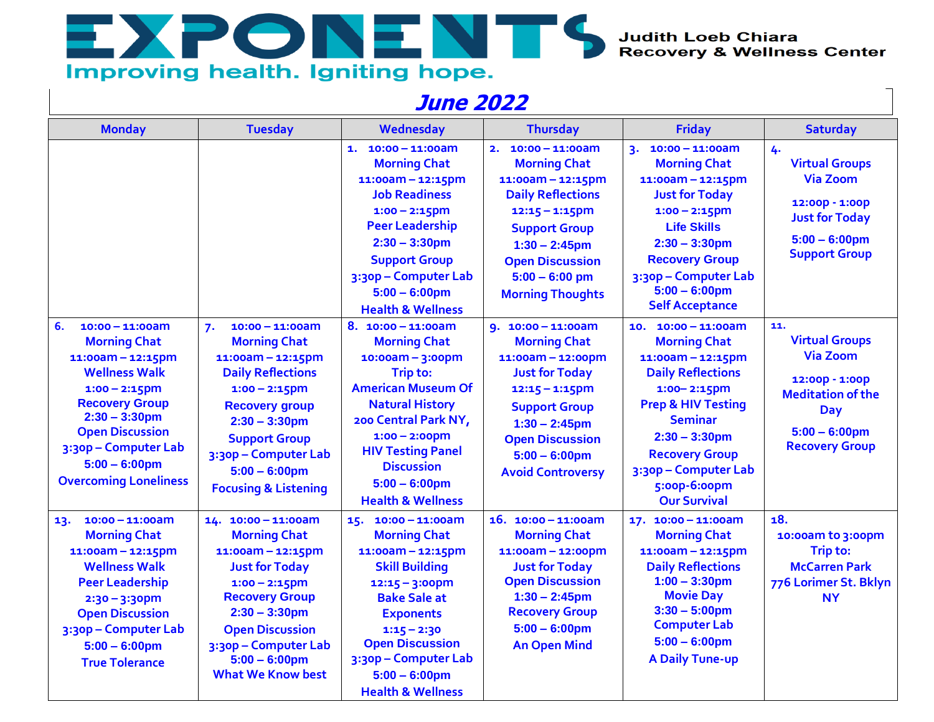Judith Loeb Chiara<br>Recovery & Wellness Center

## Improving health. Igniting hope.

EXPONENTS

## **June 2022**

| <b>Monday</b>                                                                                                                                                                                                                                                         | <b>Tuesday</b>                                                                                                                                                                                                                                                             | Wednesday                                                                                                                                                                                                                                                                           | <b>Thursday</b>                                                                                                                                                                                                                              | <b>Friday</b>                                                                                                                                                                                                                                                                     | <b>Saturday</b>                                                                                                                                          |
|-----------------------------------------------------------------------------------------------------------------------------------------------------------------------------------------------------------------------------------------------------------------------|----------------------------------------------------------------------------------------------------------------------------------------------------------------------------------------------------------------------------------------------------------------------------|-------------------------------------------------------------------------------------------------------------------------------------------------------------------------------------------------------------------------------------------------------------------------------------|----------------------------------------------------------------------------------------------------------------------------------------------------------------------------------------------------------------------------------------------|-----------------------------------------------------------------------------------------------------------------------------------------------------------------------------------------------------------------------------------------------------------------------------------|----------------------------------------------------------------------------------------------------------------------------------------------------------|
|                                                                                                                                                                                                                                                                       |                                                                                                                                                                                                                                                                            | $1. 10:00 - 11:00$ am<br><b>Morning Chat</b><br>$11:00am - 12:15pm$<br><b>Job Readiness</b><br>$1:00 - 2:15$ pm<br><b>Peer Leadership</b><br>$2:30 - 3:30$ pm<br><b>Support Group</b><br>3:30p - Computer Lab<br>$5:00 - 6:00$ pm<br><b>Health &amp; Wellness</b>                   | $10:00 - 11:00$ am<br>2.<br><b>Morning Chat</b><br>$11:00am - 12:15pm$<br><b>Daily Reflections</b><br>$12:15 - 1:15$ pm<br><b>Support Group</b><br>$1:30 - 2:45$ pm<br><b>Open Discussion</b><br>$5:00 - 6:00$ pm<br><b>Morning Thoughts</b> | $10:00 - 11:00$ am<br>3.<br><b>Morning Chat</b><br>$11:00am - 12:15pm$<br><b>Just for Today</b><br>$1:00 - 2:15$ pm<br><b>Life Skills</b><br>$2:30 - 3:30$ pm<br><b>Recovery Group</b><br>3:30p - Computer Lab<br>$5:00 - 6:00$ pm<br><b>Self Acceptance</b>                      | 4.<br><b>Virtual Groups</b><br><b>Via Zoom</b><br>12:00p - 1:00p<br><b>Just for Today</b><br>$5:00 - 6:00$ pm<br><b>Support Group</b>                    |
| 6.<br>$10:00 - 11:00$ am<br><b>Morning Chat</b><br>$11:00am - 12:15pm$<br><b>Wellness Walk</b><br>$1:00 - 2:15$ pm<br><b>Recovery Group</b><br>$2:30 - 3:30$ pm<br><b>Open Discussion</b><br>3:30p - Computer Lab<br>$5:00 - 6:00$ pm<br><b>Overcoming Loneliness</b> | $10:00 - 11:00$ am<br>7.<br><b>Morning Chat</b><br>$11:00am - 12:15pm$<br><b>Daily Reflections</b><br>$1:00 - 2:15$ pm<br><b>Recovery group</b><br>$2:30 - 3:30$ pm<br><b>Support Group</b><br>3:30p - Computer Lab<br>$5:00 - 6:00$ pm<br><b>Focusing &amp; Listening</b> | 8. 10:00 - 11:00am<br><b>Morning Chat</b><br>$10:00am - 3:00pm$<br>Trip to:<br><b>American Museum Of</b><br><b>Natural History</b><br>200 Central Park NY,<br>$1:00 - 2:00$ pm<br><b>HIV Testing Panel</b><br><b>Discussion</b><br>$5:00 - 6:00$ pm<br><b>Health &amp; Wellness</b> | 9. 10:00 - 11:00am<br><b>Morning Chat</b><br>11:00am - 12:00pm<br><b>Just for Today</b><br>$12:15 - 1:15$ pm<br><b>Support Group</b><br>$1:30 - 2:45$ pm<br><b>Open Discussion</b><br>$5:00 - 6:00$ pm<br><b>Avoid Controversy</b>           | $10.10:00 - 11:00am$<br><b>Morning Chat</b><br>$11:00am - 12:15pm$<br><b>Daily Reflections</b><br>$1:00 - 2:15$ pm<br><b>Prep &amp; HIV Testing</b><br><b>Seminar</b><br>$2:30 - 3:30$ pm<br><b>Recovery Group</b><br>3:30p - Computer Lab<br>5:00p-6:00pm<br><b>Our Survival</b> | 11.<br><b>Virtual Groups</b><br><b>Via Zoom</b><br>12:00p - 1:00p<br><b>Meditation of the</b><br><b>Day</b><br>$5:00 - 6:00$ pm<br><b>Recovery Group</b> |
| $10:00 - 11:00am$<br>13.<br><b>Morning Chat</b><br>$11:00am - 12:15pm$<br><b>Wellness Walk</b><br><b>Peer Leadership</b><br>$2:30 - 3:30$ pm<br><b>Open Discussion</b><br>3:30p - Computer Lab<br>$5:00 - 6:00$ pm<br><b>True Tolerance</b>                           | 14. 10:00 - 11:00am<br><b>Morning Chat</b><br>$11:00am - 12:15pm$<br><b>Just for Today</b><br>$1:00 - 2:15$ pm<br><b>Recovery Group</b><br>$2:30 - 3:30$ pm<br><b>Open Discussion</b><br>3:30p - Computer Lab<br>$5:00 - 6:00$ pm<br><b>What We Know best</b>              | 15. 10:00 - 11:00am<br><b>Morning Chat</b><br>11:00am - 12:15pm<br><b>Skill Building</b><br>$12:15 - 3:00$ pm<br><b>Bake Sale at</b><br><b>Exponents</b><br>$1:15 - 2:30$<br><b>Open Discussion</b><br>3:30p - Computer Lab<br>$5:00 - 6:00$ pm<br><b>Health &amp; Wellness</b>     | 16. 10:00 - 11:00am<br><b>Morning Chat</b><br>11:00am - 12:00pm<br><b>Just for Today</b><br><b>Open Discussion</b><br>$1:30 - 2:45$ pm<br><b>Recovery Group</b><br>$5:00 - 6:00$ pm<br><b>An Open Mind</b>                                   | 17. 10:00 - 11:00am<br><b>Morning Chat</b><br>$11:00am - 12:15pm$<br><b>Daily Reflections</b><br>$1:00 - 3:30$ pm<br><b>Movie Day</b><br>$3:30 - 5:00$ pm<br><b>Computer Lab</b><br>$5:00 - 6:00$ pm<br><b>A Daily Tune-up</b>                                                    | 18.<br>10:00am to 3:00pm<br>Trip to:<br><b>McCarren Park</b><br>776 Lorimer St. Bklyn<br><b>NY</b>                                                       |